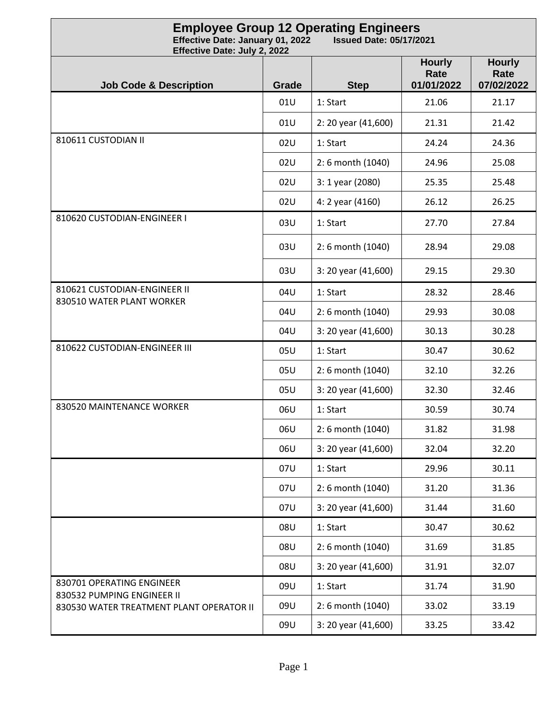| <b>Employee Group 12 Operating Engineers</b><br>Effective Date: January 01, 2022<br><b>Issued Date: 05/17/2021</b><br>Effective Date: July 2, 2022 |       |                     |                                     |                                     |
|----------------------------------------------------------------------------------------------------------------------------------------------------|-------|---------------------|-------------------------------------|-------------------------------------|
| <b>Job Code &amp; Description</b>                                                                                                                  | Grade | <b>Step</b>         | <b>Hourly</b><br>Rate<br>01/01/2022 | <b>Hourly</b><br>Rate<br>07/02/2022 |
|                                                                                                                                                    | 01U   | 1: Start            | 21.06                               | 21.17                               |
|                                                                                                                                                    | 01U   | 2: 20 year (41,600) | 21.31                               | 21.42                               |
| 810611 CUSTODIAN II                                                                                                                                | 02U   | 1: Start            | 24.24                               | 24.36                               |
|                                                                                                                                                    | 02U   | 2:6 month (1040)    | 24.96                               | 25.08                               |
|                                                                                                                                                    | 02U   | 3: 1 year (2080)    | 25.35                               | 25.48                               |
|                                                                                                                                                    | 02U   | 4: 2 year (4160)    | 26.12                               | 26.25                               |
| 810620 CUSTODIAN-ENGINEER I                                                                                                                        | 03U   | 1: Start            | 27.70                               | 27.84                               |
|                                                                                                                                                    | 03U   | 2:6 month (1040)    | 28.94                               | 29.08                               |
|                                                                                                                                                    | 03U   | 3: 20 year (41,600) | 29.15                               | 29.30                               |
| 810621 CUSTODIAN-ENGINEER II                                                                                                                       | 04U   | 1: Start            | 28.32                               | 28.46                               |
| 830510 WATER PLANT WORKER                                                                                                                          | 04U   | 2:6 month (1040)    | 29.93                               | 30.08                               |
|                                                                                                                                                    | 04U   | 3: 20 year (41,600) | 30.13                               | 30.28                               |
| 810622 CUSTODIAN-ENGINEER III                                                                                                                      | 05U   | 1: Start            | 30.47                               | 30.62                               |
|                                                                                                                                                    | 05U   | 2:6 month (1040)    | 32.10                               | 32.26                               |
|                                                                                                                                                    | 05U   | 3: 20 year (41,600) | 32.30                               | 32.46                               |
| 830520 MAINTENANCE WORKER                                                                                                                          | 06U   | 1: Start            | 30.59                               | 30.74                               |
|                                                                                                                                                    | 06U   | 2:6 month (1040)    | 31.82                               | 31.98                               |
|                                                                                                                                                    | 06U   | 3: 20 year (41,600) | 32.04                               | 32.20                               |
|                                                                                                                                                    | 07U   | 1: Start            | 29.96                               | 30.11                               |
|                                                                                                                                                    | 07U   | 2:6 month (1040)    | 31.20                               | 31.36                               |
|                                                                                                                                                    | 07U   | 3: 20 year (41,600) | 31.44                               | 31.60                               |
|                                                                                                                                                    | 08U   | 1: Start            | 30.47                               | 30.62                               |
|                                                                                                                                                    | 08U   | 2:6 month (1040)    | 31.69                               | 31.85                               |
|                                                                                                                                                    | 08U   | 3: 20 year (41,600) | 31.91                               | 32.07                               |
| 830701 OPERATING ENGINEER<br>830532 PUMPING ENGINEER II                                                                                            | 09U   | 1: Start            | 31.74                               | 31.90                               |
| 830530 WATER TREATMENT PLANT OPERATOR II                                                                                                           | 09U   | 2:6 month (1040)    | 33.02                               | 33.19                               |
|                                                                                                                                                    | 09U   | 3: 20 year (41,600) | 33.25                               | 33.42                               |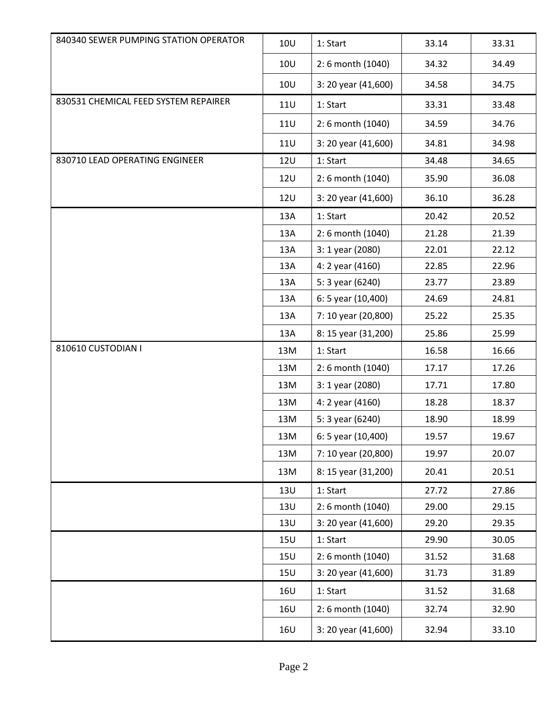| 840340 SEWER PUMPING STATION OPERATOR | <b>10U</b> | 1: Start            | 33.14 | 33.31 |
|---------------------------------------|------------|---------------------|-------|-------|
|                                       | <b>10U</b> | 2:6 month (1040)    | 34.32 | 34.49 |
|                                       | <b>10U</b> | 3: 20 year (41,600) | 34.58 | 34.75 |
| 830531 CHEMICAL FEED SYSTEM REPAIRER  | <b>11U</b> | 1: Start            | 33.31 | 33.48 |
|                                       | <b>11U</b> | 2:6 month (1040)    | 34.59 | 34.76 |
|                                       | <b>11U</b> | 3: 20 year (41,600) | 34.81 | 34.98 |
| 830710 LEAD OPERATING ENGINEER        | <b>12U</b> | 1: Start            | 34.48 | 34.65 |
|                                       | <b>12U</b> | 2:6 month (1040)    | 35.90 | 36.08 |
|                                       | <b>12U</b> | 3: 20 year (41,600) | 36.10 | 36.28 |
|                                       | 13A        | 1: Start            | 20.42 | 20.52 |
|                                       | 13A        | 2:6 month (1040)    | 21.28 | 21.39 |
|                                       | 13A        | 3: 1 year (2080)    | 22.01 | 22.12 |
|                                       | 13A        | 4: 2 year (4160)    | 22.85 | 22.96 |
|                                       | 13A        | 5: 3 year (6240)    | 23.77 | 23.89 |
|                                       | 13A        | 6: 5 year (10,400)  | 24.69 | 24.81 |
|                                       | 13A        | 7: 10 year (20,800) | 25.22 | 25.35 |
|                                       | 13A        | 8: 15 year (31,200) | 25.86 | 25.99 |
| 810610 CUSTODIAN I                    | 13M        | 1: Start            | 16.58 | 16.66 |
|                                       | 13M        | 2:6 month (1040)    | 17.17 | 17.26 |
|                                       | 13M        | 3: 1 year (2080)    | 17.71 | 17.80 |
|                                       | 13M        | 4: 2 year (4160)    | 18.28 | 18.37 |
|                                       | 13M        | 5: 3 year (6240)    | 18.90 | 18.99 |
|                                       | 13M        | 6: 5 year (10,400)  | 19.57 | 19.67 |
|                                       | 13M        | 7: 10 year (20,800) | 19.97 | 20.07 |
|                                       | 13M        | 8: 15 year (31,200) | 20.41 | 20.51 |
|                                       | <b>13U</b> | 1: Start            | 27.72 | 27.86 |
|                                       | <b>13U</b> | 2:6 month (1040)    | 29.00 | 29.15 |
|                                       | <b>13U</b> | 3: 20 year (41,600) | 29.20 | 29.35 |
|                                       | <b>15U</b> | 1: Start            | 29.90 | 30.05 |
|                                       | <b>15U</b> | 2:6 month (1040)    | 31.52 | 31.68 |
|                                       | <b>15U</b> | 3: 20 year (41,600) | 31.73 | 31.89 |
|                                       | <b>16U</b> | 1: Start            | 31.52 | 31.68 |
|                                       | <b>16U</b> | 2:6 month (1040)    | 32.74 | 32.90 |
|                                       | <b>16U</b> | 3: 20 year (41,600) | 32.94 | 33.10 |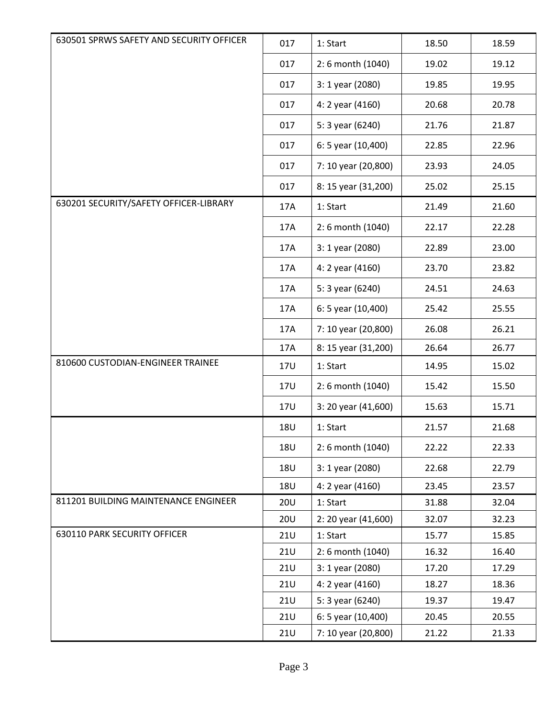| 630501 SPRWS SAFETY AND SECURITY OFFICER | 017        | 1: Start            | 18.50 | 18.59 |
|------------------------------------------|------------|---------------------|-------|-------|
|                                          | 017        | 2:6 month (1040)    | 19.02 | 19.12 |
|                                          | 017        | 3: 1 year (2080)    | 19.85 | 19.95 |
|                                          | 017        | 4: 2 year (4160)    | 20.68 | 20.78 |
|                                          | 017        | 5: 3 year (6240)    | 21.76 | 21.87 |
|                                          | 017        | 6: 5 year (10,400)  | 22.85 | 22.96 |
|                                          | 017        | 7: 10 year (20,800) | 23.93 | 24.05 |
|                                          | 017        | 8: 15 year (31,200) | 25.02 | 25.15 |
| 630201 SECURITY/SAFETY OFFICER-LIBRARY   | 17A        | 1: Start            | 21.49 | 21.60 |
|                                          | 17A        | 2:6 month (1040)    | 22.17 | 22.28 |
|                                          | 17A        | 3: 1 year (2080)    | 22.89 | 23.00 |
|                                          | 17A        | 4: 2 year (4160)    | 23.70 | 23.82 |
|                                          | 17A        | 5: 3 year (6240)    | 24.51 | 24.63 |
|                                          | 17A        | 6: 5 year (10,400)  | 25.42 | 25.55 |
|                                          | 17A        | 7: 10 year (20,800) | 26.08 | 26.21 |
|                                          | 17A        | 8: 15 year (31,200) | 26.64 | 26.77 |
| 810600 CUSTODIAN-ENGINEER TRAINEE        | 17U        | 1: Start            | 14.95 | 15.02 |
|                                          | 17U        | 2:6 month (1040)    | 15.42 | 15.50 |
|                                          | 17U        | 3: 20 year (41,600) | 15.63 | 15.71 |
|                                          | <b>18U</b> | 1: Start            | 21.57 | 21.68 |
|                                          | <b>18U</b> | 2:6 month (1040)    | 22.22 | 22.33 |
|                                          | 18U        | 3: 1 year (2080)    | 22.68 | 22.79 |
|                                          | <b>18U</b> | 4: 2 year (4160)    | 23.45 | 23.57 |
| 811201 BUILDING MAINTENANCE ENGINEER     | <b>20U</b> | 1: Start            | 31.88 | 32.04 |
|                                          | <b>20U</b> | 2: 20 year (41,600) | 32.07 | 32.23 |
| 630110 PARK SECURITY OFFICER             | <b>21U</b> | 1: Start            | 15.77 | 15.85 |
|                                          | <b>21U</b> | 2:6 month (1040)    | 16.32 | 16.40 |
|                                          | <b>21U</b> | 3: 1 year (2080)    | 17.20 | 17.29 |
|                                          | <b>21U</b> | 4: 2 year (4160)    | 18.27 | 18.36 |
|                                          | <b>21U</b> | 5: 3 year (6240)    | 19.37 | 19.47 |
|                                          | <b>21U</b> | 6: 5 year (10,400)  | 20.45 | 20.55 |
|                                          | <b>21U</b> | 7: 10 year (20,800) | 21.22 | 21.33 |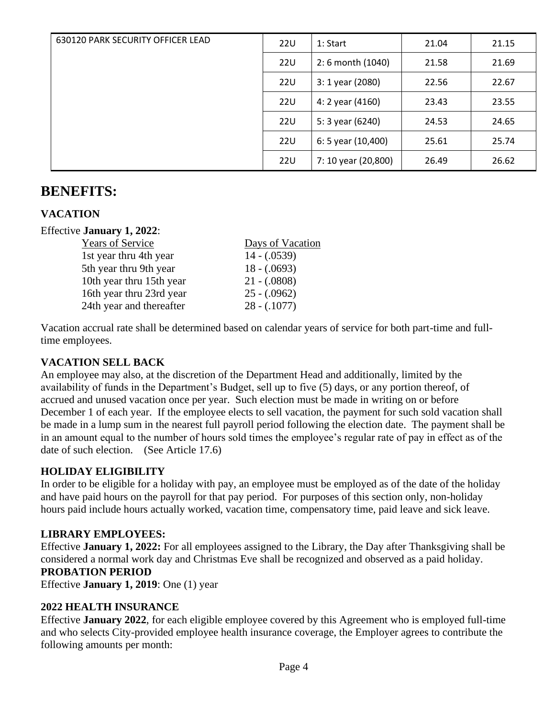| 630120 PARK SECURITY OFFICER LEAD | <b>22U</b> | 1: Start            | 21.04 | 21.15 |
|-----------------------------------|------------|---------------------|-------|-------|
|                                   | 22U        | 2:6 month (1040)    | 21.58 | 21.69 |
|                                   | 22U        | 3: 1 year (2080)    | 22.56 | 22.67 |
|                                   | <b>22U</b> | 4: 2 year (4160)    | 23.43 | 23.55 |
|                                   | 22U        | 5: 3 year (6240)    | 24.53 | 24.65 |
|                                   | 22U        | 6: 5 year (10,400)  | 25.61 | 25.74 |
|                                   | <b>22U</b> | 7: 10 year (20,800) | 26.49 | 26.62 |

# **BENEFITS:**

# **VACATION**

#### Effective **January 1, 2022**:

| <b>Years of Service</b>  | Days of Vacation |
|--------------------------|------------------|
| 1st year thru 4th year   | $14 - (.0539)$   |
| 5th year thru 9th year   | $18 - (.0693)$   |
| 10th year thru 15th year | $21 - (.0808)$   |
| 16th year thru 23rd year | $25 - (.0962)$   |
| 24th year and thereafter | $28 - (.1077)$   |

Vacation accrual rate shall be determined based on calendar years of service for both part-time and fulltime employees.

#### **VACATION SELL BACK**

An employee may also, at the discretion of the Department Head and additionally, limited by the availability of funds in the Department's Budget, sell up to five (5) days, or any portion thereof, of accrued and unused vacation once per year. Such election must be made in writing on or before December 1 of each year. If the employee elects to sell vacation, the payment for such sold vacation shall be made in a lump sum in the nearest full payroll period following the election date. The payment shall be in an amount equal to the number of hours sold times the employee's regular rate of pay in effect as of the date of such election. (See Article 17.6)

# **HOLIDAY ELIGIBILITY**

In order to be eligible for a holiday with pay, an employee must be employed as of the date of the holiday and have paid hours on the payroll for that pay period. For purposes of this section only, non-holiday hours paid include hours actually worked, vacation time, compensatory time, paid leave and sick leave.

# **LIBRARY EMPLOYEES:**

Effective **January 1, 2022:** For all employees assigned to the Library, the Day after Thanksgiving shall be considered a normal work day and Christmas Eve shall be recognized and observed as a paid holiday. **PROBATION PERIOD**

Effective **January 1, 2019**: One (1) year

# **2022 HEALTH INSURANCE**

Effective **January 2022**, for each eligible employee covered by this Agreement who is employed full-time and who selects City-provided employee health insurance coverage, the Employer agrees to contribute the following amounts per month: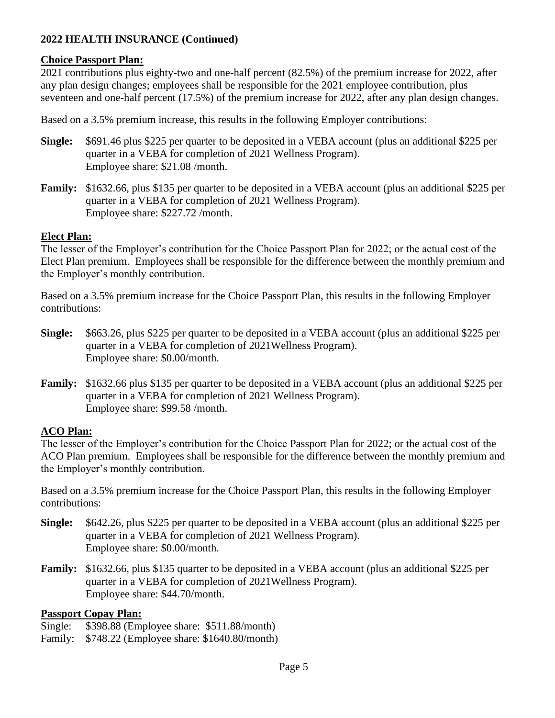# **2022 HEALTH INSURANCE (Continued)**

# **Choice Passport Plan:**

2021 contributions plus eighty-two and one-half percent (82.5%) of the premium increase for 2022, after any plan design changes; employees shall be responsible for the 2021 employee contribution, plus seventeen and one-half percent (17.5%) of the premium increase for 2022, after any plan design changes.

Based on a 3.5% premium increase, this results in the following Employer contributions:

- **Single:** \$691.46 plus \$225 per quarter to be deposited in a VEBA account (plus an additional \$225 per quarter in a VEBA for completion of 2021 Wellness Program). Employee share: \$21.08 /month.
- **Family:** \$1632.66, plus \$135 per quarter to be deposited in a VEBA account (plus an additional \$225 per quarter in a VEBA for completion of 2021 Wellness Program). Employee share: \$227.72 /month.

# **Elect Plan:**

The lesser of the Employer's contribution for the Choice Passport Plan for 2022; or the actual cost of the Elect Plan premium. Employees shall be responsible for the difference between the monthly premium and the Employer's monthly contribution.

Based on a 3.5% premium increase for the Choice Passport Plan, this results in the following Employer contributions:

- **Single:** \$663.26, plus \$225 per quarter to be deposited in a VEBA account (plus an additional \$225 per quarter in a VEBA for completion of 2021Wellness Program). Employee share: \$0.00/month.
- **Family:** \$1632.66 plus \$135 per quarter to be deposited in a VEBA account (plus an additional \$225 per quarter in a VEBA for completion of 2021 Wellness Program). Employee share: \$99.58 /month.

# **ACO Plan:**

The lesser of the Employer's contribution for the Choice Passport Plan for 2022; or the actual cost of the ACO Plan premium. Employees shall be responsible for the difference between the monthly premium and the Employer's monthly contribution.

Based on a 3.5% premium increase for the Choice Passport Plan, this results in the following Employer contributions:

- **Single:** \$642.26, plus \$225 per quarter to be deposited in a VEBA account (plus an additional \$225 per quarter in a VEBA for completion of 2021 Wellness Program). Employee share: \$0.00/month.
- **Family:** \$1632.66, plus \$135 quarter to be deposited in a VEBA account (plus an additional \$225 per quarter in a VEBA for completion of 2021Wellness Program). Employee share: \$44.70/month.

#### **Passport Copay Plan:**

Single: \$398.88 (Employee share: \$511.88/month)

Family: \$748.22 (Employee share: \$1640.80/month)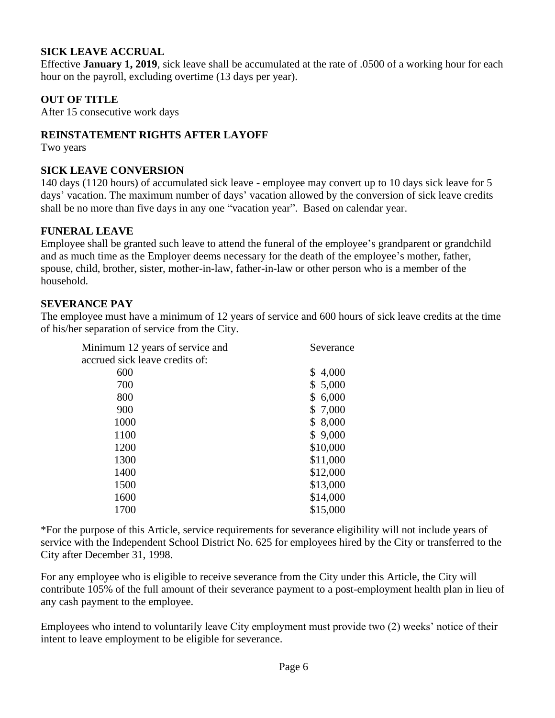# **SICK LEAVE ACCRUAL**

Effective **January 1, 2019**, sick leave shall be accumulated at the rate of .0500 of a working hour for each hour on the payroll, excluding overtime (13 days per year).

# **OUT OF TITLE**

After 15 consecutive work days

# **REINSTATEMENT RIGHTS AFTER LAYOFF**

Two years

# **SICK LEAVE CONVERSION**

140 days (1120 hours) of accumulated sick leave - employee may convert up to 10 days sick leave for 5 days' vacation. The maximum number of days' vacation allowed by the conversion of sick leave credits shall be no more than five days in any one "vacation year". Based on calendar year.

# **FUNERAL LEAVE**

Employee shall be granted such leave to attend the funeral of the employee's grandparent or grandchild and as much time as the Employer deems necessary for the death of the employee's mother, father, spouse, child, brother, sister, mother-in-law, father-in-law or other person who is a member of the household.

# **SEVERANCE PAY**

The employee must have a minimum of 12 years of service and 600 hours of sick leave credits at the time of his/her separation of service from the City.

| Minimum 12 years of service and | Severance |
|---------------------------------|-----------|
| accrued sick leave credits of:  |           |
| 600                             | \$4,000   |
| 700                             | \$5,000   |
| 800                             | \$6,000   |
| 900                             | \$ 7,000  |
| 1000                            | \$8,000   |
| 1100                            | \$9,000   |
| 1200                            | \$10,000  |
| 1300                            | \$11,000  |
| 1400                            | \$12,000  |
| 1500                            | \$13,000  |
| 1600                            | \$14,000  |
| 1700                            | \$15,000  |

\*For the purpose of this Article, service requirements for severance eligibility will not include years of service with the Independent School District No. 625 for employees hired by the City or transferred to the City after December 31, 1998.

For any employee who is eligible to receive severance from the City under this Article, the City will contribute 105% of the full amount of their severance payment to a post-employment health plan in lieu of any cash payment to the employee.

Employees who intend to voluntarily leave City employment must provide two (2) weeks' notice of their intent to leave employment to be eligible for severance.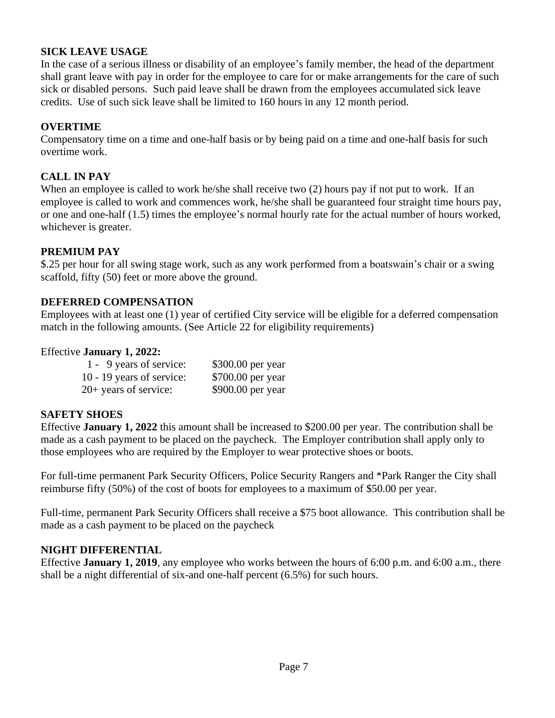# **SICK LEAVE USAGE**

In the case of a serious illness or disability of an employee's family member, the head of the department shall grant leave with pay in order for the employee to care for or make arrangements for the care of such sick or disabled persons. Such paid leave shall be drawn from the employees accumulated sick leave credits. Use of such sick leave shall be limited to 160 hours in any 12 month period.

# **OVERTIME**

Compensatory time on a time and one-half basis or by being paid on a time and one-half basis for such overtime work.

# **CALL IN PAY**

When an employee is called to work he/she shall receive two (2) hours pay if not put to work. If an employee is called to work and commences work, he/she shall be guaranteed four straight time hours pay, or one and one-half (1.5) times the employee's normal hourly rate for the actual number of hours worked, whichever is greater.

# **PREMIUM PAY**

\$.25 per hour for all swing stage work, such as any work performed from a boatswain's chair or a swing scaffold, fifty (50) feet or more above the ground.

# **DEFERRED COMPENSATION**

Employees with at least one (1) year of certified City service will be eligible for a deferred compensation match in the following amounts. (See Article 22 for eligibility requirements)

# Effective **January 1, 2022:**

| 1 - 9 years of service:   | \$300.00 per year |
|---------------------------|-------------------|
| 10 - 19 years of service: | \$700.00 per year |
| $20+$ years of service:   | \$900.00 per year |

# **SAFETY SHOES**

Effective **January 1, 2022** this amount shall be increased to \$200.00 per year. The contribution shall be made as a cash payment to be placed on the paycheck. The Employer contribution shall apply only to those employees who are required by the Employer to wear protective shoes or boots.

For full-time permanent Park Security Officers, Police Security Rangers and \*Park Ranger the City shall reimburse fifty (50%) of the cost of boots for employees to a maximum of \$50.00 per year.

Full-time, permanent Park Security Officers shall receive a \$75 boot allowance. This contribution shall be made as a cash payment to be placed on the paycheck

# **NIGHT DIFFERENTIAL**

Effective **January 1, 2019**, any employee who works between the hours of 6:00 p.m. and 6:00 a.m., there shall be a night differential of six-and one-half percent (6.5%) for such hours.